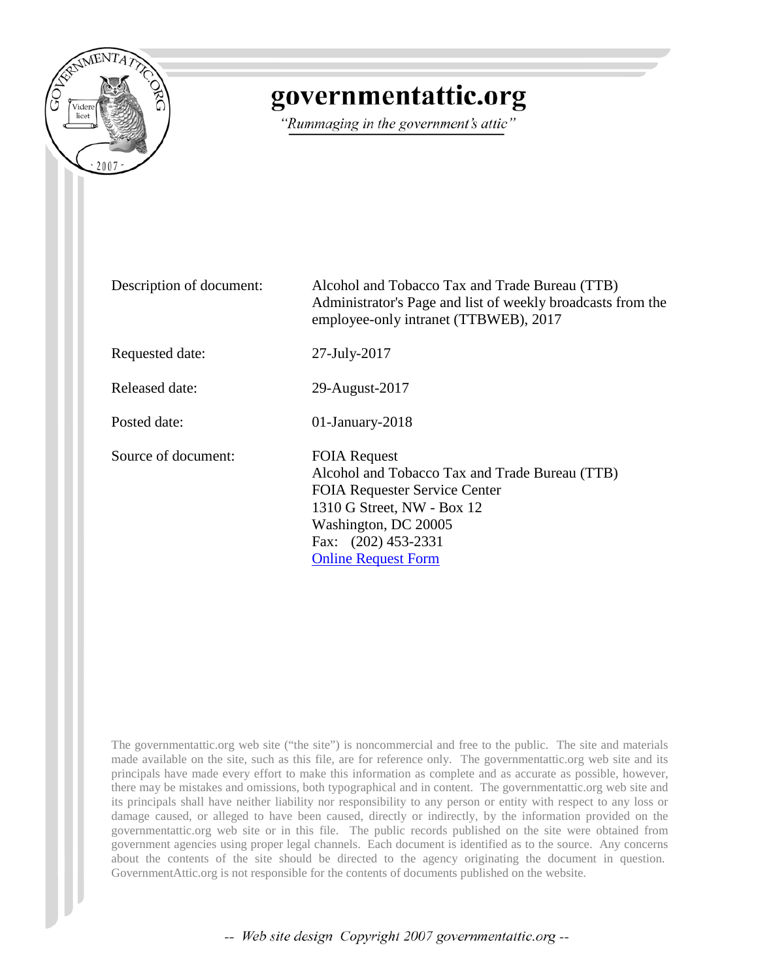

## governmentattic.org

"Rummaging in the government's attic"

Description of document: Alcohol and Tobacco Tax and Trade Bureau (TTB) Administrator's Page and list of weekly broadcasts from the employee-only intranet (TTBWEB), 2017 Requested date: 27-July-2017 Released date: 29-August-2017 Posted date: 01-January-2018 Source of document: FOIA Request Alcohol and Tobacco Tax and Trade Bureau (TTB) FOIA Requester Service Center 1310 G Street, NW - Box 12 Washington, DC 20005 Fax: (202) 453-2331 [Online Request Form](https://www.treasury.gov/foia/pages/gofoia.aspx)

The governmentattic.org web site ("the site") is noncommercial and free to the public. The site and materials made available on the site, such as this file, are for reference only. The governmentattic.org web site and its principals have made every effort to make this information as complete and as accurate as possible, however, there may be mistakes and omissions, both typographical and in content. The governmentattic.org web site and its principals shall have neither liability nor responsibility to any person or entity with respect to any loss or damage caused, or alleged to have been caused, directly or indirectly, by the information provided on the governmentattic.org web site or in this file. The public records published on the site were obtained from government agencies using proper legal channels. Each document is identified as to the source. Any concerns about the contents of the site should be directed to the agency originating the document in question. GovernmentAttic.org is not responsible for the contents of documents published on the website.

-- Web site design Copyright 2007 governmentattic.org --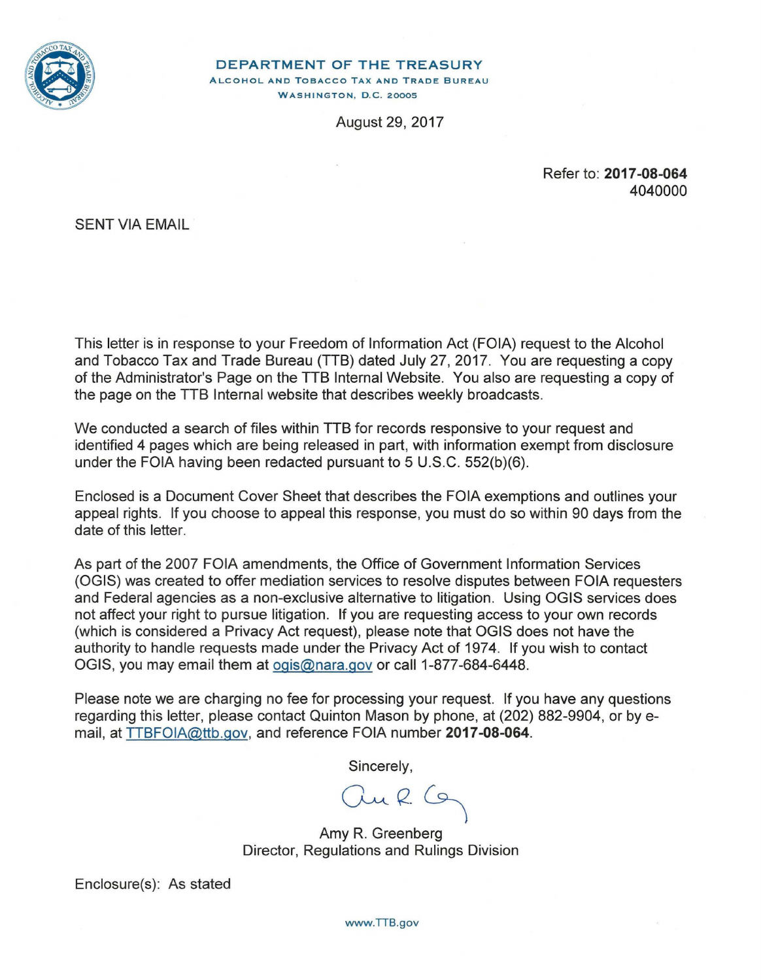

DEPARTMENT OF THE TREASURY

ALCOHOL AND TOBACCO TAX AND TRADE BUREAU **WASHINGTON, D.C. 20005** 

August 29, 2017

Refer to: **2017-08-064**  4040000

SENT VIA EMAIL

This letter is in response to your Freedom of Information Act (FOIA) request to the Alcohol and Tobacco Tax and Trade Bureau (TTB) dated July 27, 2017. You are requesting a copy of the Administrator's Page on the TTB Internal Website. You also are requesting a copy of the page on the TTB Internal website that describes weekly broadcasts.

We conducted a search of files within TTB for records responsive to your request and identified 4 pages which are being released in part, with information exempt from disclosure under the FOIA having been redacted pursuant to 5 U.S.C. 552(b)(6).

Enclosed is a Document Cover Sheet that describes the FOIA exemptions and outlines your appeal rights. If you choose to appeal this response, you must do so within 90 days from the date of this letter.

As part of the 2007 FOIA amendments, the Office of Government Information Services (OGIS) was created to offer mediation services to resolve disputes between FOIA requesters and Federal agencies as a non-exclusive alternative to litigation. Using OGIS services does not affect your right to pursue litigation. If you are requesting access to your own records (which is considered a Privacy Act request), please note that OGIS does not have the authority to handle requests made under the Privacy Act of 1974. If you wish to contact OGIS, you may email them at ogis@nara.gov or call 1-877-684-6448.

Please note we are charging no fee for processing your request. If you have any questions regarding this letter, please contact Quinton Mason by phone, at (202) 882-9904, or by email, at TTBFOIA@ttb.gov, and reference FOIA number **2017-08-064.** 

Sincerely,

Jur G

Amy R. Greenberg Director, Regulations and Rulings Division

Enclosure(s): As stated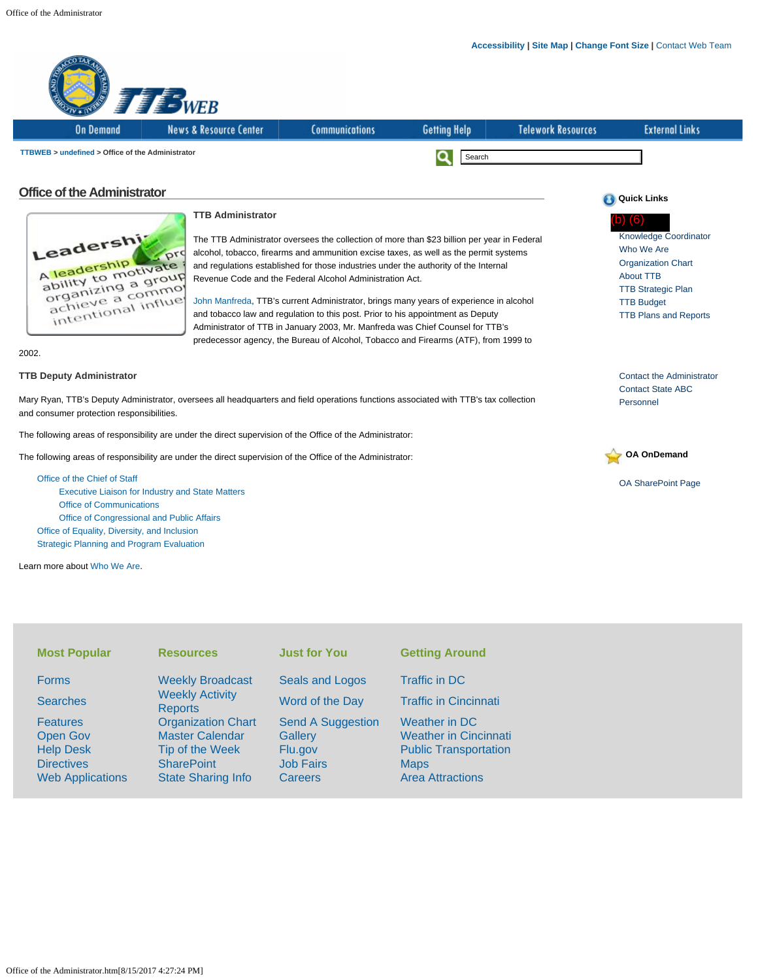

[Executive Liaison for Industry and State Matters](http://ttbweb/oa/executive-liaison.html) [Office of Communications](http://ttbweb/oc/index.html) [Office of Congressional and Public Affairs](http://ttbweb/ocpa/index.html) [Office of Equality, Diversity, and Inclusion](http://ttbweb/eeo/index.html) [Strategic Planning and Program Evaluation](http://ttbweb/sp/index.html)

Learn more about [Who We Are](http://ttbweb/oa/who-we-are.html).

| <b>Most Popular</b>                                                                                    | <b>Resources</b>                                                                                                         | <b>Just for You</b>                                                           | <b>Getting Around</b>                                                                                                   |
|--------------------------------------------------------------------------------------------------------|--------------------------------------------------------------------------------------------------------------------------|-------------------------------------------------------------------------------|-------------------------------------------------------------------------------------------------------------------------|
| <b>Forms</b>                                                                                           | <b>Weekly Broadcast</b>                                                                                                  | <b>Seals and Logos</b>                                                        | Traffic in DC                                                                                                           |
| <b>Searches</b>                                                                                        | <b>Weekly Activity</b><br><b>Reports</b>                                                                                 | Word of the Day                                                               | <b>Traffic in Cincinnati</b>                                                                                            |
| <b>Features</b><br><b>Open Gov</b><br><b>Help Desk</b><br><b>Directives</b><br><b>Web Applications</b> | <b>Organization Chart</b><br><b>Master Calendar</b><br>Tip of the Week<br><b>SharePoint</b><br><b>State Sharing Info</b> | <b>Send A Suggestion</b><br>Gallery<br>Flu.gov<br><b>Job Fairs</b><br>Careers | Weather in DC<br><b>Weather in Cincinnati</b><br><b>Public Transportation</b><br><b>Maps</b><br><b>Area Attractions</b> |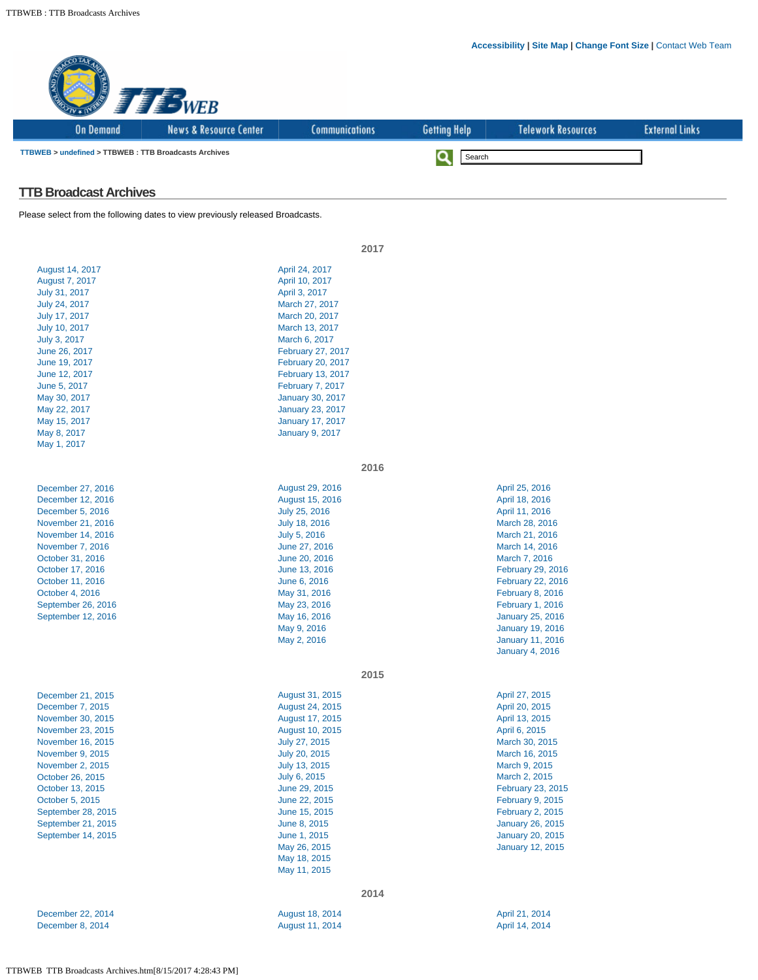|                                                       | <b>FEB WEB</b>                                                                 |                                                    |                     |                                                    |                       |
|-------------------------------------------------------|--------------------------------------------------------------------------------|----------------------------------------------------|---------------------|----------------------------------------------------|-----------------------|
| <b>On Demand</b>                                      | <b>News &amp; Resource Center</b>                                              | <b>Communications</b>                              | <b>Getting Help</b> | <b>Telework Resources</b>                          | <b>External Links</b> |
| TTBWEB > undefined > TTBWEB : TTB Broadcasts Archives |                                                                                |                                                    | Q<br>Search         |                                                    |                       |
| <b>TTB Broadcast Archives</b>                         |                                                                                |                                                    |                     |                                                    |                       |
|                                                       | Please select from the following dates to view previously released Broadcasts. |                                                    |                     |                                                    |                       |
|                                                       |                                                                                | 2017                                               |                     |                                                    |                       |
| August 14, 2017                                       |                                                                                | April 24, 2017                                     |                     |                                                    |                       |
| August 7, 2017                                        |                                                                                | April 10, 2017                                     |                     |                                                    |                       |
| July 31, 2017                                         |                                                                                | April 3, 2017                                      |                     |                                                    |                       |
| July 24, 2017                                         |                                                                                | March 27, 2017                                     |                     |                                                    |                       |
| July 17, 2017                                         |                                                                                | March 20, 2017                                     |                     |                                                    |                       |
| July 10, 2017                                         |                                                                                | March 13, 2017                                     |                     |                                                    |                       |
| July 3, 2017                                          |                                                                                | March 6, 2017                                      |                     |                                                    |                       |
| June 26, 2017                                         |                                                                                | February 27, 2017                                  |                     |                                                    |                       |
| June 19, 2017                                         |                                                                                | <b>February 20, 2017</b>                           |                     |                                                    |                       |
| June 12, 2017                                         |                                                                                | February 13, 2017                                  |                     |                                                    |                       |
| June 5, 2017<br>May 30, 2017                          |                                                                                | <b>February 7, 2017</b><br><b>January 30, 2017</b> |                     |                                                    |                       |
| May 22, 2017                                          |                                                                                | <b>January 23, 2017</b>                            |                     |                                                    |                       |
| May 15, 2017                                          |                                                                                | <b>January 17, 2017</b>                            |                     |                                                    |                       |
| May 8, 2017                                           |                                                                                | <b>January 9, 2017</b>                             |                     |                                                    |                       |
| May 1, 2017                                           |                                                                                |                                                    |                     |                                                    |                       |
|                                                       |                                                                                | 2016                                               |                     |                                                    |                       |
| December 27, 2016                                     |                                                                                | August 29, 2016                                    |                     | April 25, 2016                                     |                       |
| December 12, 2016                                     |                                                                                | August 15, 2016                                    |                     | April 18, 2016                                     |                       |
| December 5, 2016                                      |                                                                                | July 25, 2016                                      |                     | April 11, 2016                                     |                       |
| November 21, 2016                                     |                                                                                | July 18, 2016                                      |                     | March 28, 2016                                     |                       |
| November 14, 2016                                     |                                                                                | July 5, 2016                                       |                     | March 21, 2016                                     |                       |
| November 7, 2016                                      |                                                                                | June 27, 2016                                      |                     | March 14, 2016                                     |                       |
| October 31, 2016                                      |                                                                                | June 20, 2016                                      |                     | March 7, 2016                                      |                       |
| October 17, 2016                                      |                                                                                | June 13, 2016                                      |                     | February 29, 2016                                  |                       |
| October 11, 2016                                      |                                                                                | June 6, 2016                                       |                     | February 22, 2016                                  |                       |
| October 4, 2016<br>September 26, 2016                 |                                                                                | May 31, 2016<br>May 23, 2016                       |                     | <b>February 8, 2016</b><br><b>February 1, 2016</b> |                       |
| September 12, 2016                                    |                                                                                | May 16, 2016                                       |                     | <b>January 25, 2016</b>                            |                       |
|                                                       |                                                                                | May 9, 2016                                        |                     | <b>January 19, 2016</b>                            |                       |
|                                                       |                                                                                | May 2, 2016                                        |                     | <b>January 11, 2016</b>                            |                       |
|                                                       |                                                                                |                                                    |                     | <b>January 4, 2016</b>                             |                       |
|                                                       |                                                                                | 2015                                               |                     |                                                    |                       |
| December 21, 2015                                     |                                                                                | August 31, 2015                                    |                     | April 27, 2015                                     |                       |
| December 7, 2015                                      |                                                                                | August 24, 2015                                    |                     | April 20, 2015                                     |                       |
| November 30, 2015                                     |                                                                                | August 17, 2015                                    |                     | April 13, 2015                                     |                       |
| November 23, 2015                                     |                                                                                | August 10, 2015                                    |                     | April 6, 2015                                      |                       |
| November 16, 2015                                     |                                                                                | July 27, 2015                                      |                     | March 30, 2015                                     |                       |
| November 9, 2015                                      |                                                                                | July 20, 2015                                      |                     | March 16, 2015                                     |                       |
| November 2, 2015                                      |                                                                                | July 13, 2015                                      |                     | March 9, 2015                                      |                       |
| October 26, 2015                                      |                                                                                | July 6, 2015                                       |                     | March 2, 2015                                      |                       |
| October 13, 2015<br>October 5, 2015                   |                                                                                | June 29, 2015<br>June 22, 2015                     |                     | February 23, 2015<br><b>February 9, 2015</b>       |                       |
| September 28, 2015                                    |                                                                                | June 15, 2015                                      |                     | <b>February 2, 2015</b>                            |                       |
| September 21, 2015                                    |                                                                                | June 8, 2015                                       |                     | <b>January 26, 2015</b>                            |                       |
| September 14, 2015                                    |                                                                                | June 1, 2015                                       |                     | <b>January 20, 2015</b>                            |                       |
|                                                       |                                                                                | May 26, 2015                                       |                     | <b>January 12, 2015</b>                            |                       |
|                                                       |                                                                                | May 18, 2015                                       |                     |                                                    |                       |
|                                                       |                                                                                | May 11, 2015                                       |                     |                                                    |                       |
|                                                       |                                                                                | 2014                                               |                     |                                                    |                       |
| December 22, 2014                                     |                                                                                | August 18, 2014                                    |                     | April 21, 2014                                     |                       |
| December 8, 2014                                      |                                                                                | August 11, 2014                                    |                     | April 14, 2014                                     |                       |
|                                                       |                                                                                |                                                    |                     |                                                    |                       |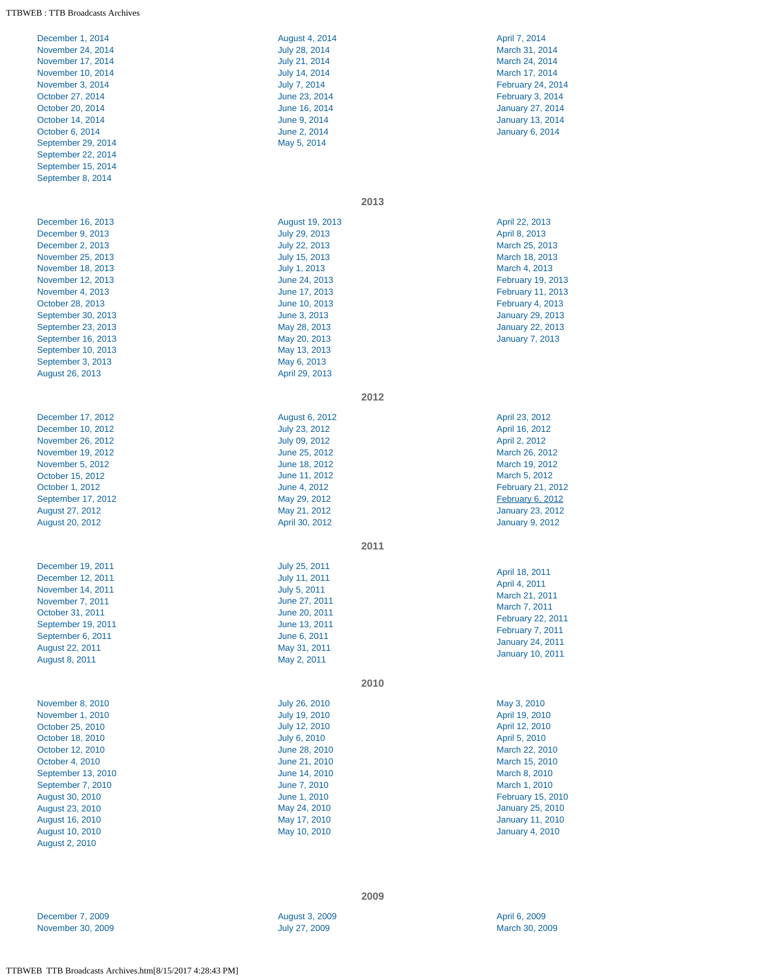## TTBWEB : TTB Broadcasts Archives

| December 1, 2014<br>November 24, 2014<br>November 17, 2014<br>November 10, 2014<br>November 3, 2014<br>October 27, 2014<br>October 20, 2014<br>October 14, 2014<br>October 6, 2014<br>September 29, 2014<br>September 22, 2014<br>September 15, 2014<br>September 8, 2014                        | <b>August 4, 2014</b><br>July 28, 2014<br>July 21, 2014<br>July 14, 2014<br>July 7, 2014<br>June 23, 2014<br>June 16, 2014<br>June 9, 2014<br>June 2, 2014<br>May 5, 2014                                                              | April 7, 2014<br>March 31, 2014<br>March 24, 2014<br>March 17, 2014<br>February 24, 2014<br><b>February 3, 2014</b><br><b>January 27, 2014</b><br><b>January 13, 2014</b><br><b>January 6, 2014</b>                                                |
|--------------------------------------------------------------------------------------------------------------------------------------------------------------------------------------------------------------------------------------------------------------------------------------------------|----------------------------------------------------------------------------------------------------------------------------------------------------------------------------------------------------------------------------------------|----------------------------------------------------------------------------------------------------------------------------------------------------------------------------------------------------------------------------------------------------|
|                                                                                                                                                                                                                                                                                                  | 2013                                                                                                                                                                                                                                   |                                                                                                                                                                                                                                                    |
| December 16, 2013<br>December 9, 2013<br>December 2, 2013<br>November 25, 2013<br>November 18, 2013<br>November 12, 2013<br>November 4, 2013<br>October 28, 2013<br>September 30, 2013<br>September 23, 2013<br>September 16, 2013<br>September 10, 2013<br>September 3, 2013<br>August 26, 2013 | August 19, 2013<br>July 29, 2013<br>July 22, 2013<br>July 15, 2013<br>July 1, 2013<br>June 24, 2013<br>June 17, 2013<br>June 10, 2013<br>June 3, 2013<br>May 28, 2013<br>May 20, 2013<br>May 13, 2013<br>May 6, 2013<br>April 29, 2013 | April 22, 2013<br>April 8, 2013<br>March 25, 2013<br>March 18, 2013<br>March 4, 2013<br>February 19, 2013<br>February 11, 2013<br><b>February 4, 2013</b><br><b>January 29, 2013</b><br><b>January 22, 2013</b><br><b>January 7, 2013</b>          |
|                                                                                                                                                                                                                                                                                                  | 2012                                                                                                                                                                                                                                   |                                                                                                                                                                                                                                                    |
| December 17, 2012<br>December 10, 2012<br>November 26, 2012<br>November 19, 2012<br>November 5, 2012<br>October 15, 2012<br>October 1, 2012<br>September 17, 2012<br>August 27, 2012<br><b>August 20, 2012</b>                                                                                   | August 6, 2012<br>July 23, 2012<br>July 09, 2012<br>June 25, 2012<br>June 18, 2012<br>June 11, 2012<br>June 4, 2012<br>May 29, 2012<br>May 21, 2012<br>April 30, 2012                                                                  | April 23, 2012<br>April 16, 2012<br>April 2, 2012<br>March 26, 2012<br>March 19, 2012<br>March 5, 2012<br><b>February 21, 2012</b><br><b>February 6, 2012</b><br><b>January 23, 2012</b><br><b>January 9, 2012</b>                                 |
|                                                                                                                                                                                                                                                                                                  | 2011                                                                                                                                                                                                                                   |                                                                                                                                                                                                                                                    |
| December 19, 2011<br>December 12, 2011<br>November 14, 2011<br>November 7, 2011<br>October 31, 2011<br>September 19, 2011<br>September 6, 2011<br><b>August 22, 2011</b><br>August 8, 2011                                                                                                       | July 25, 2011<br><b>July 11, 2011</b><br>July 5, 2011<br>June 27, 2011<br>June 20, 2011<br>June 13, 2011<br>June 6, 2011<br>May 31, 2011<br>May 2, 2011                                                                                | April 18, 2011<br>April 4, 2011<br>March 21, 2011<br>March 7, 2011<br><b>February 22, 2011</b><br><b>February 7, 2011</b><br><b>January 24, 2011</b><br><b>January 10, 2011</b>                                                                    |
|                                                                                                                                                                                                                                                                                                  | 2010                                                                                                                                                                                                                                   |                                                                                                                                                                                                                                                    |
| November 8, 2010<br>November 1, 2010<br>October 25, 2010<br>October 18, 2010<br>October 12, 2010<br>October 4, 2010<br>September 13, 2010<br>September 7, 2010<br>August 30, 2010<br><b>August 23, 2010</b><br>August 16, 2010<br>August 10, 2010<br>August 2, 2010                              | July 26, 2010<br>July 19, 2010<br>July 12, 2010<br>July 6, 2010<br>June 28, 2010<br>June 21, 2010<br>June 14, 2010<br>June 7, 2010<br>June 1, 2010<br>May 24, 2010<br>May 17, 2010<br>May 10, 2010                                     | May 3, 2010<br>April 19, 2010<br>April 12, 2010<br>April 5, 2010<br>March 22, 2010<br>March 15, 2010<br>March 8, 2010<br>March 1, 2010<br><b>February 15, 2010</b><br><b>January 25, 2010</b><br><b>January 11, 2010</b><br><b>January 4, 2010</b> |

[December 7, 2009](http://ttbweb/broadcast/2009/120709broadcast.html) [November 30, 2009](http://ttbweb/broadcast/2009/113009broadcast.html) **2009**

[August 3, 2009](http://ttbweb/broadcast/2009/080309broadcast.html) [July 27, 2009](http://ttbweb/broadcast/2009/072709broadcast.html)

[April 6, 2009](http://ttbweb/broadcast/2009/040609broadcast.html) [March 30, 2009](http://ttbweb/broadcast/2009/033009broadcast.html)